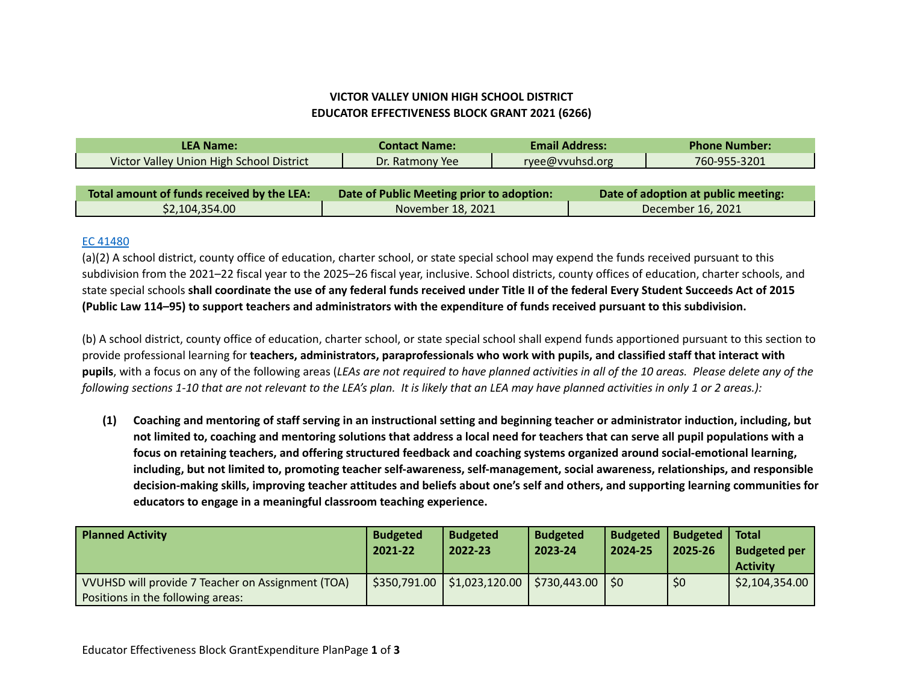## **VICTOR VALLEY UNION HIGH SCHOOL DISTRICT EDUCATOR EFFECTIVENESS BLOCK GRANT 2021 (6266)**

| <b>LEA Name:</b>                           | <b>Email Address:</b><br><b>Contact Name:</b> |                 | <b>Phone Number:</b>                |              |  |
|--------------------------------------------|-----------------------------------------------|-----------------|-------------------------------------|--------------|--|
| Victor Valley Union High School District   | Dr. Ratmony Yee                               | ryee@vvuhsd.org |                                     | 760-955-3201 |  |
|                                            |                                               |                 |                                     |              |  |
| Total amount of funds received by the LEA: | Date of Public Meeting prior to adoption:     |                 | Date of adoption at public meeting: |              |  |
| \$2,104,354.00                             | November 18, 2021                             |                 | December 16, 2021                   |              |  |

## EC [41480](https://leginfo.legislature.ca.gov/faces/codes_displaySection.xhtml?sectionNum=41480.&lawCode=EDC)

(a)(2) A school district, county office of education, charter school, or state special school may expend the funds received pursuant to this subdivision from the 2021–22 fiscal year to the 2025–26 fiscal year, inclusive. School districts, county offices of education, charter schools, and state special schools shall coordinate the use of any federal funds received under Title II of the federal Every Student Succeeds Act of 2015 (Public Law 114-95) to support teachers and administrators with the expenditure of funds received pursuant to this subdivision.

(b) A school district, county office of education, charter school, or state special school shall expend funds apportioned pursuant to this section to provide professional learning for teachers, administrators, paraprofessionals who work with pupils, and classified staff that interact with pupils, with a focus on any of the following areas (LEAs are not required to have planned activities in all of the 10 areas. Please delete any of the following sections 1-10 that are not relevant to the LEA's plan. It is likely that an LEA may have planned activities in only 1 or 2 areas.):

(1) Coaching and mentoring of staff serving in an instructional setting and beginning teacher or administrator induction, including, but not limited to, coaching and mentoring solutions that address a local need for teachers that can serve all pupil populations with a focus on retaining teachers, and offering structured feedback and coaching systems organized around social-emotional learning, including, but not limited to, promoting teacher self-awareness, self-management, social awareness, relationships, and responsible decision-making skills, improving teacher attitudes and beliefs about one's self and others, and supporting learning communities for **educators to engage in a meaningful classroom teaching experience.**

| <b>Planned Activity</b>                                                                | <b>Budgeted</b><br>2021-22 | <b>Budgeted</b><br>2022-23    | <b>Budgeted</b><br>2023-24 | <b>Budgeted</b><br>2024-25 | <b>Budgeted</b><br>2025-26 | Total<br><b>Budgeted per</b><br><b>Activity</b> |
|----------------------------------------------------------------------------------------|----------------------------|-------------------------------|----------------------------|----------------------------|----------------------------|-------------------------------------------------|
| VVUHSD will provide 7 Teacher on Assignment (TOA)<br>Positions in the following areas: |                            | $$350,791.00$ $$1,023,120.00$ | \$730,443.00               | $\overline{1}$ SO          | \$0                        | \$2,104,354.00                                  |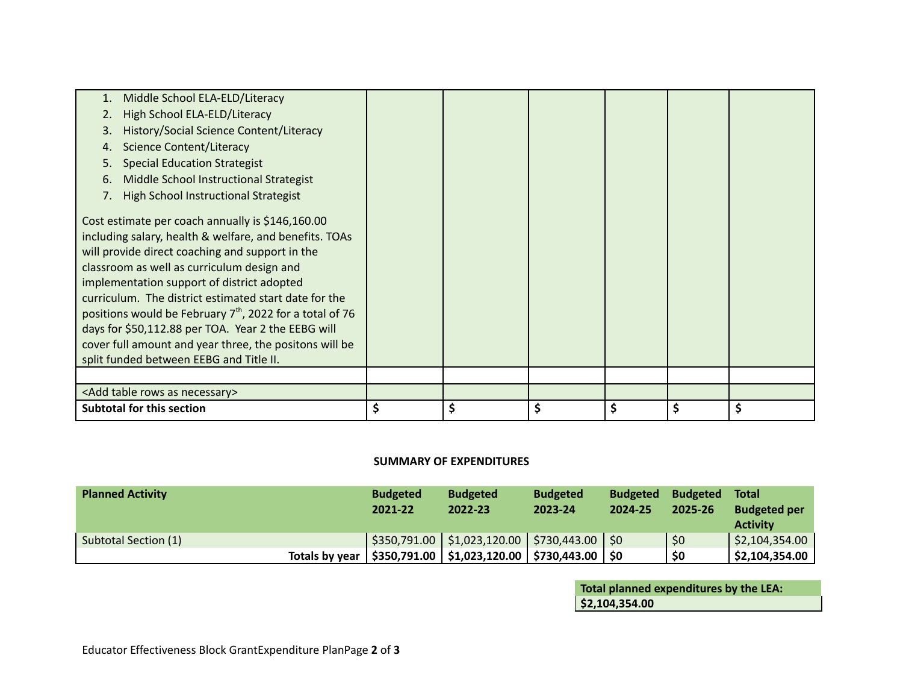| Middle School ELA-ELD/Literacy<br>1.<br>High School ELA-ELD/Literacy<br>History/Social Science Content/Literacy<br>3.<br><b>Science Content/Literacy</b><br>4.<br><b>Special Education Strategist</b><br>5.<br>Middle School Instructional Strategist<br>6.<br>High School Instructional Strategist<br>7.                                                                                                                                                                                                                                   |          |          |          |
|---------------------------------------------------------------------------------------------------------------------------------------------------------------------------------------------------------------------------------------------------------------------------------------------------------------------------------------------------------------------------------------------------------------------------------------------------------------------------------------------------------------------------------------------|----------|----------|----------|
| Cost estimate per coach annually is \$146,160.00<br>including salary, health & welfare, and benefits. TOAs<br>will provide direct coaching and support in the<br>classroom as well as curriculum design and<br>implementation support of district adopted<br>curriculum. The district estimated start date for the<br>positions would be February $7th$ , 2022 for a total of 76<br>days for \$50,112.88 per TOA. Year 2 the EEBG will<br>cover full amount and year three, the positons will be<br>split funded between EEBG and Title II. |          |          |          |
|                                                                                                                                                                                                                                                                                                                                                                                                                                                                                                                                             |          |          |          |
| <add as="" necessary="" rows="" table=""></add>                                                                                                                                                                                                                                                                                                                                                                                                                                                                                             |          |          |          |
| <b>Subtotal for this section</b>                                                                                                                                                                                                                                                                                                                                                                                                                                                                                                            | \$<br>\$ | \$<br>\$ | \$<br>\$ |

## **SUMMARY OF EXPENDITURES**

| <b>Planned Activity</b> | <b>Budgeted</b><br>2021-22 | <b>Budgeted</b><br>2022-23                                                                           | <b>Budgeted</b><br>2023-24 | <b>Budgeted</b><br>2024-25 | <b>Budgeted</b><br>2025-26 | <b>Total</b><br><b>Budgeted per</b><br><b>Activity</b> |
|-------------------------|----------------------------|------------------------------------------------------------------------------------------------------|----------------------------|----------------------------|----------------------------|--------------------------------------------------------|
| Subtotal Section (1)    |                            | $\frac{1}{2}$ \$350,791.00 $\frac{1}{2}$ \$1,023,120.00 $\frac{1}{2}$ \$730,443.00 $\frac{1}{2}$ \$0 |                            |                            | \$0                        | \$2,104,354.00                                         |
|                         |                            | Totals by year   \$350,791.00   \$1,023,120.00   \$730,443.00   \$0                                  |                            |                            | \$0                        | \$2,104,354.00                                         |

**Total planned expenditures by the LEA: \$2,104,354.00**